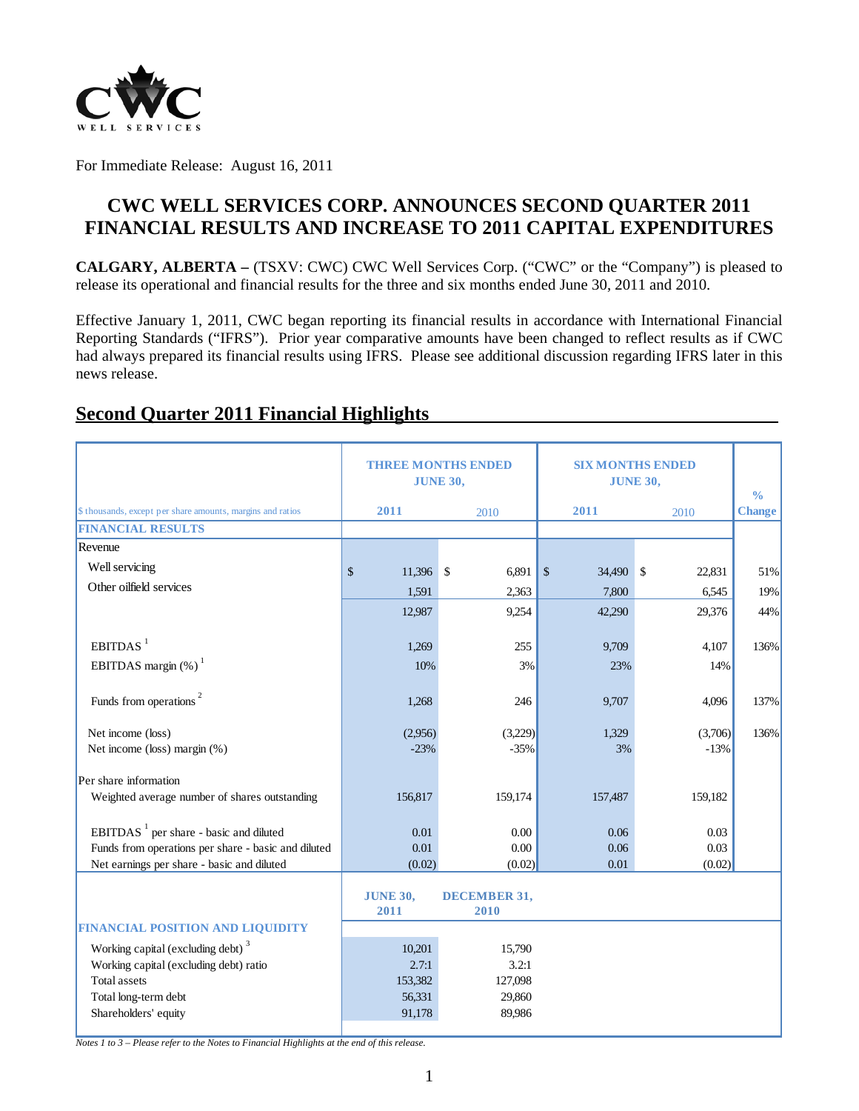

For Immediate Release: August 16, 2011

# **CWC WELL SERVICES CORP. ANNOUNCES SECOND QUARTER 2011 FINANCIAL RESULTS AND INCREASE TO 2011 CAPITAL EXPENDITURES**

**CALGARY, ALBERTA –** (TSXV: CWC) CWC Well Services Corp. ("CWC" or the "Company") is pleased to release its operational and financial results for the three and six months ended June 30, 2011 and 2010.

Effective January 1, 2011, CWC began reporting its financial results in accordance with International Financial Reporting Standards ("IFRS"). Prior year comparative amounts have been changed to reflect results as if CWC had always prepared its financial results using IFRS. Please see additional discussion regarding IFRS later in this news release.

|                                                            |                         | <b>THREE MONTHS ENDED</b><br><b>JUNE 30,</b> | <b>SIX MONTHS ENDED</b><br><b>JUNE 30,</b> | $\frac{0}{0}$ |               |
|------------------------------------------------------------|-------------------------|----------------------------------------------|--------------------------------------------|---------------|---------------|
| \$ thousands, except per share amounts, margins and ratios | 2011                    | 2010                                         | 2011                                       | 2010          | <b>Change</b> |
| <b>FINANCIAL RESULTS</b>                                   |                         |                                              |                                            |               |               |
| Revenue                                                    |                         |                                              |                                            |               |               |
| Well servicing                                             | \$<br>11,396            | \$<br>6,891                                  | $\sqrt{\ }$<br>34,490 \$                   | 22,831        | 51%           |
| Other oilfield services                                    | 1,591                   | 2,363                                        | 7,800                                      | 6,545         | 19%           |
|                                                            | 12,987                  | 9,254                                        | 42,290                                     | 29,376        | 44%           |
|                                                            |                         |                                              |                                            |               |               |
| EBITDAS <sup>1</sup>                                       | 1,269                   | 255                                          | 9,709                                      | 4,107         | 136%          |
| EBITDAS margin $(\%)$ <sup>1</sup>                         | 10%                     | 3%                                           | 23%                                        | 14%           |               |
|                                                            |                         |                                              |                                            |               |               |
| Funds from operations <sup>2</sup>                         | 1,268                   | 246                                          | 9,707                                      | 4,096         | 137%          |
| Net income (loss)                                          | (2,956)                 | (3,229)                                      | 1,329                                      | (3,706)       | 136%          |
| Net income (loss) margin (%)                               | $-23%$                  | $-35%$                                       | 3%                                         | $-13%$        |               |
| Per share information                                      |                         |                                              |                                            |               |               |
| Weighted average number of shares outstanding              | 156,817                 | 159,174                                      | 157,487                                    | 159,182       |               |
| EBITDAS <sup>1</sup> per share - basic and diluted         | 0.01                    | 0.00                                         | 0.06                                       | 0.03          |               |
| Funds from operations per share - basic and diluted        | 0.01                    | 0.00                                         | 0.06                                       | 0.03          |               |
| Net earnings per share - basic and diluted                 | (0.02)                  | (0.02)                                       | 0.01                                       | (0.02)        |               |
|                                                            | <b>JUNE 30,</b><br>2011 | <b>DECEMBER 31,</b><br>2010                  |                                            |               |               |
| FINANCIAL POSITION AND LIQUIDITY                           |                         |                                              |                                            |               |               |
| Working capital (excluding debt) <sup>3</sup>              | 10,201                  | 15,790                                       |                                            |               |               |
| Working capital (excluding debt) ratio                     | 2.7:1                   | 3.2:1                                        |                                            |               |               |
| <b>Total assets</b>                                        | 153,382                 | 127,098                                      |                                            |               |               |
| Total long-term debt                                       | 56,331                  | 29,860                                       |                                            |               |               |
| Shareholders' equity                                       | 91,178                  | 89,986                                       |                                            |               |               |
|                                                            |                         |                                              |                                            |               |               |

# **Second Quarter 2011 Financial Highlights**

*Notes 1 to 3 – Please refer to the Notes to Financial Highlights at the end of this release.*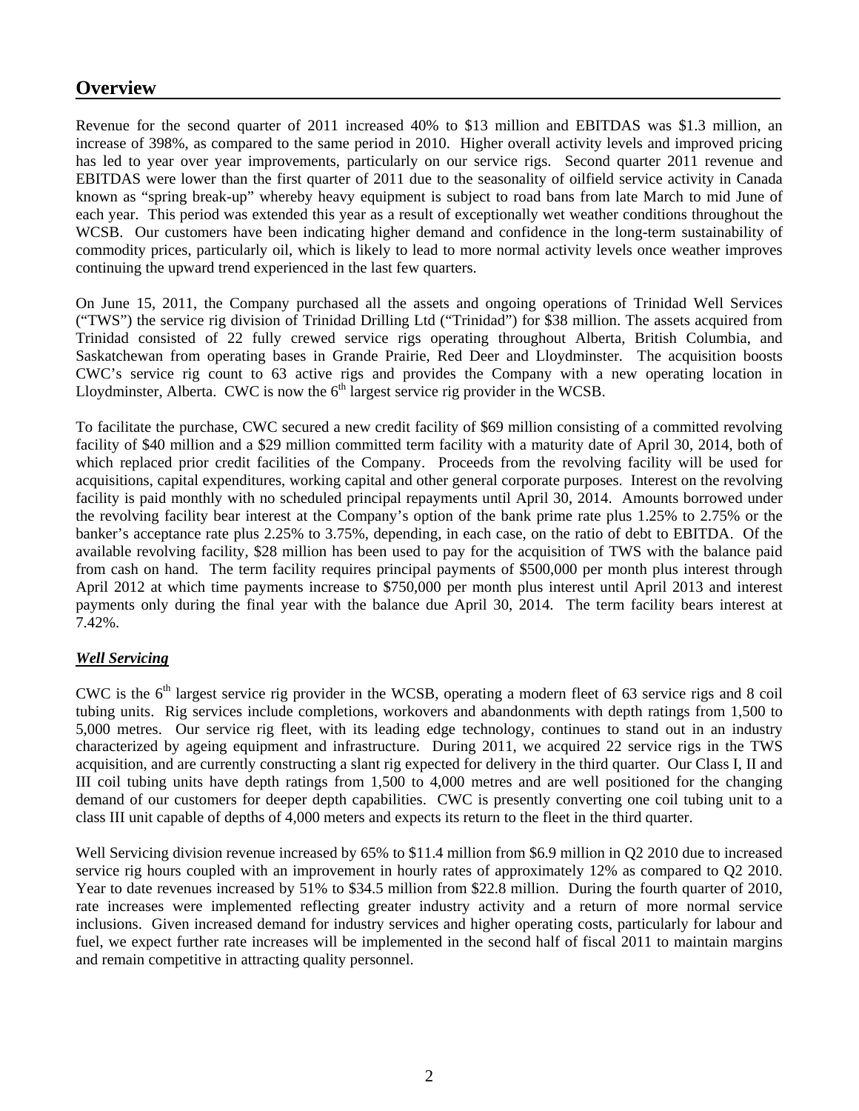## **Overview**

Revenue for the second quarter of 2011 increased 40% to \$13 million and EBITDAS was \$1.3 million, an increase of 398%, as compared to the same period in 2010. Higher overall activity levels and improved pricing has led to year over year improvements, particularly on our service rigs. Second quarter 2011 revenue and EBITDAS were lower than the first quarter of 2011 due to the seasonality of oilfield service activity in Canada known as "spring break-up" whereby heavy equipment is subject to road bans from late March to mid June of each year. This period was extended this year as a result of exceptionally wet weather conditions throughout the WCSB. Our customers have been indicating higher demand and confidence in the long-term sustainability of commodity prices, particularly oil, which is likely to lead to more normal activity levels once weather improves continuing the upward trend experienced in the last few quarters.

On June 15, 2011, the Company purchased all the assets and ongoing operations of Trinidad Well Services ("TWS") the service rig division of Trinidad Drilling Ltd ("Trinidad") for \$38 million. The assets acquired from Trinidad consisted of 22 fully crewed service rigs operating throughout Alberta, British Columbia, and Saskatchewan from operating bases in Grande Prairie, Red Deer and Lloydminster. The acquisition boosts CWC's service rig count to 63 active rigs and provides the Company with a new operating location in Lloydminster, Alberta. CWC is now the  $6<sup>th</sup>$  largest service rig provider in the WCSB.

To facilitate the purchase, CWC secured a new credit facility of \$69 million consisting of a committed revolving facility of \$40 million and a \$29 million committed term facility with a maturity date of April 30, 2014, both of which replaced prior credit facilities of the Company. Proceeds from the revolving facility will be used for acquisitions, capital expenditures, working capital and other general corporate purposes. Interest on the revolving facility is paid monthly with no scheduled principal repayments until April 30, 2014. Amounts borrowed under the revolving facility bear interest at the Company's option of the bank prime rate plus 1.25% to 2.75% or the banker's acceptance rate plus 2.25% to 3.75%, depending, in each case, on the ratio of debt to EBITDA. Of the available revolving facility, \$28 million has been used to pay for the acquisition of TWS with the balance paid from cash on hand. The term facility requires principal payments of \$500,000 per month plus interest through April 2012 at which time payments increase to \$750,000 per month plus interest until April 2013 and interest payments only during the final year with the balance due April 30, 2014. The term facility bears interest at 7.42%.

#### *Well Servicing*

CWC is the  $6<sup>th</sup>$  largest service rig provider in the WCSB, operating a modern fleet of 63 service rigs and 8 coil tubing units. Rig services include completions, workovers and abandonments with depth ratings from 1,500 to 5,000 metres. Our service rig fleet, with its leading edge technology, continues to stand out in an industry characterized by ageing equipment and infrastructure. During 2011, we acquired 22 service rigs in the TWS acquisition, and are currently constructing a slant rig expected for delivery in the third quarter. Our Class I, II and III coil tubing units have depth ratings from 1,500 to 4,000 metres and are well positioned for the changing demand of our customers for deeper depth capabilities. CWC is presently converting one coil tubing unit to a class III unit capable of depths of 4,000 meters and expects its return to the fleet in the third quarter.

Well Servicing division revenue increased by 65% to \$11.4 million from \$6.9 million in Q2 2010 due to increased service rig hours coupled with an improvement in hourly rates of approximately 12% as compared to Q2 2010. Year to date revenues increased by 51% to \$34.5 million from \$22.8 million. During the fourth quarter of 2010, rate increases were implemented reflecting greater industry activity and a return of more normal service inclusions. Given increased demand for industry services and higher operating costs, particularly for labour and fuel, we expect further rate increases will be implemented in the second half of fiscal 2011 to maintain margins and remain competitive in attracting quality personnel.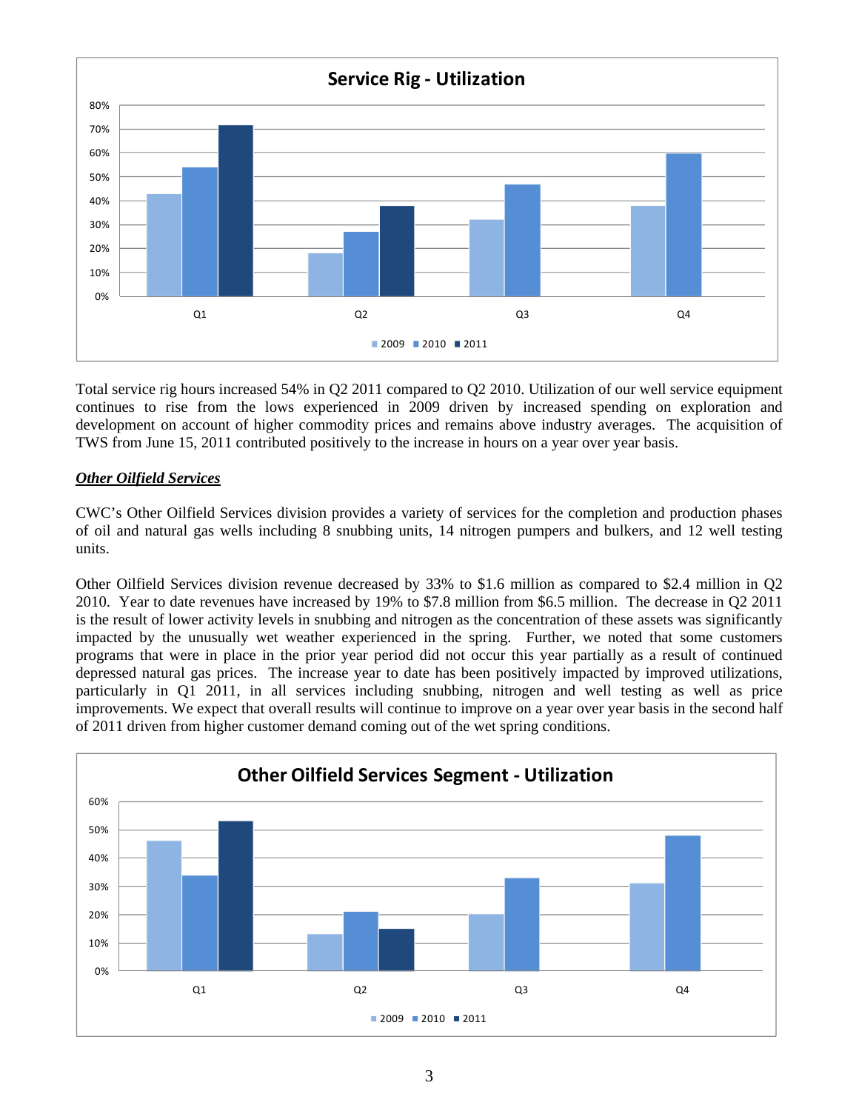

Total service rig hours increased 54% in Q2 2011 compared to Q2 2010. Utilization of our well service equipment continues to rise from the lows experienced in 2009 driven by increased spending on exploration and development on account of higher commodity prices and remains above industry averages. The acquisition of TWS from June 15, 2011 contributed positively to the increase in hours on a year over year basis.

#### *Other Oilfield Services*

CWC's Other Oilfield Services division provides a variety of services for the completion and production phases of oil and natural gas wells including 8 snubbing units, 14 nitrogen pumpers and bulkers, and 12 well testing units.

Other Oilfield Services division revenue decreased by 33% to \$1.6 million as compared to \$2.4 million in Q2 2010. Year to date revenues have increased by 19% to \$7.8 million from \$6.5 million. The decrease in Q2 2011 is the result of lower activity levels in snubbing and nitrogen as the concentration of these assets was significantly impacted by the unusually wet weather experienced in the spring. Further, we noted that some customers programs that were in place in the prior year period did not occur this year partially as a result of continued depressed natural gas prices. The increase year to date has been positively impacted by improved utilizations, particularly in Q1 2011, in all services including snubbing, nitrogen and well testing as well as price improvements. We expect that overall results will continue to improve on a year over year basis in the second half of 2011 driven from higher customer demand coming out of the wet spring conditions.

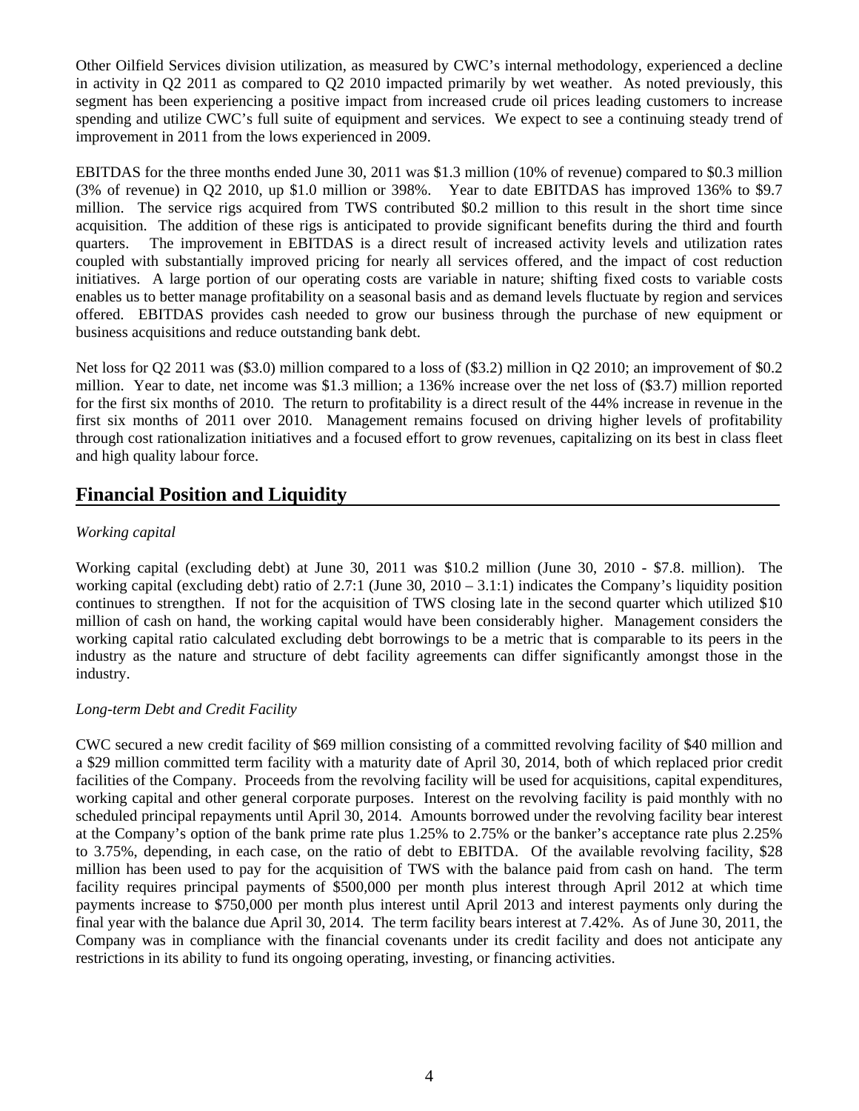Other Oilfield Services division utilization, as measured by CWC's internal methodology, experienced a decline in activity in Q2 2011 as compared to Q2 2010 impacted primarily by wet weather. As noted previously, this segment has been experiencing a positive impact from increased crude oil prices leading customers to increase spending and utilize CWC's full suite of equipment and services. We expect to see a continuing steady trend of improvement in 2011 from the lows experienced in 2009.

EBITDAS for the three months ended June 30, 2011 was \$1.3 million (10% of revenue) compared to \$0.3 million (3% of revenue) in Q2 2010, up \$1.0 million or 398%. Year to date EBITDAS has improved 136% to \$9.7 million. The service rigs acquired from TWS contributed \$0.2 million to this result in the short time since acquisition. The addition of these rigs is anticipated to provide significant benefits during the third and fourth quarters. The improvement in EBITDAS is a direct result of increased activity levels and utilization rates coupled with substantially improved pricing for nearly all services offered, and the impact of cost reduction initiatives. A large portion of our operating costs are variable in nature; shifting fixed costs to variable costs enables us to better manage profitability on a seasonal basis and as demand levels fluctuate by region and services offered. EBITDAS provides cash needed to grow our business through the purchase of new equipment or business acquisitions and reduce outstanding bank debt.

Net loss for Q2 2011 was (\$3.0) million compared to a loss of (\$3.2) million in Q2 2010; an improvement of \$0.2 million. Year to date, net income was \$1.3 million; a 136% increase over the net loss of (\$3.7) million reported for the first six months of 2010. The return to profitability is a direct result of the 44% increase in revenue in the first six months of 2011 over 2010. Management remains focused on driving higher levels of profitability through cost rationalization initiatives and a focused effort to grow revenues, capitalizing on its best in class fleet and high quality labour force.

# **Financial Position and Liquidity**

### *Working capital*

Working capital (excluding debt) at June 30, 2011 was \$10.2 million (June 30, 2010 - \$7.8. million). The working capital (excluding debt) ratio of 2.7:1 (June 30, 2010 – 3.1:1) indicates the Company's liquidity position continues to strengthen. If not for the acquisition of TWS closing late in the second quarter which utilized \$10 million of cash on hand, the working capital would have been considerably higher. Management considers the working capital ratio calculated excluding debt borrowings to be a metric that is comparable to its peers in the industry as the nature and structure of debt facility agreements can differ significantly amongst those in the industry.

#### *Long-term Debt and Credit Facility*

CWC secured a new credit facility of \$69 million consisting of a committed revolving facility of \$40 million and a \$29 million committed term facility with a maturity date of April 30, 2014, both of which replaced prior credit facilities of the Company. Proceeds from the revolving facility will be used for acquisitions, capital expenditures, working capital and other general corporate purposes. Interest on the revolving facility is paid monthly with no scheduled principal repayments until April 30, 2014. Amounts borrowed under the revolving facility bear interest at the Company's option of the bank prime rate plus 1.25% to 2.75% or the banker's acceptance rate plus 2.25% to 3.75%, depending, in each case, on the ratio of debt to EBITDA. Of the available revolving facility, \$28 million has been used to pay for the acquisition of TWS with the balance paid from cash on hand. The term facility requires principal payments of \$500,000 per month plus interest through April 2012 at which time payments increase to \$750,000 per month plus interest until April 2013 and interest payments only during the final year with the balance due April 30, 2014. The term facility bears interest at 7.42%. As of June 30, 2011, the Company was in compliance with the financial covenants under its credit facility and does not anticipate any restrictions in its ability to fund its ongoing operating, investing, or financing activities.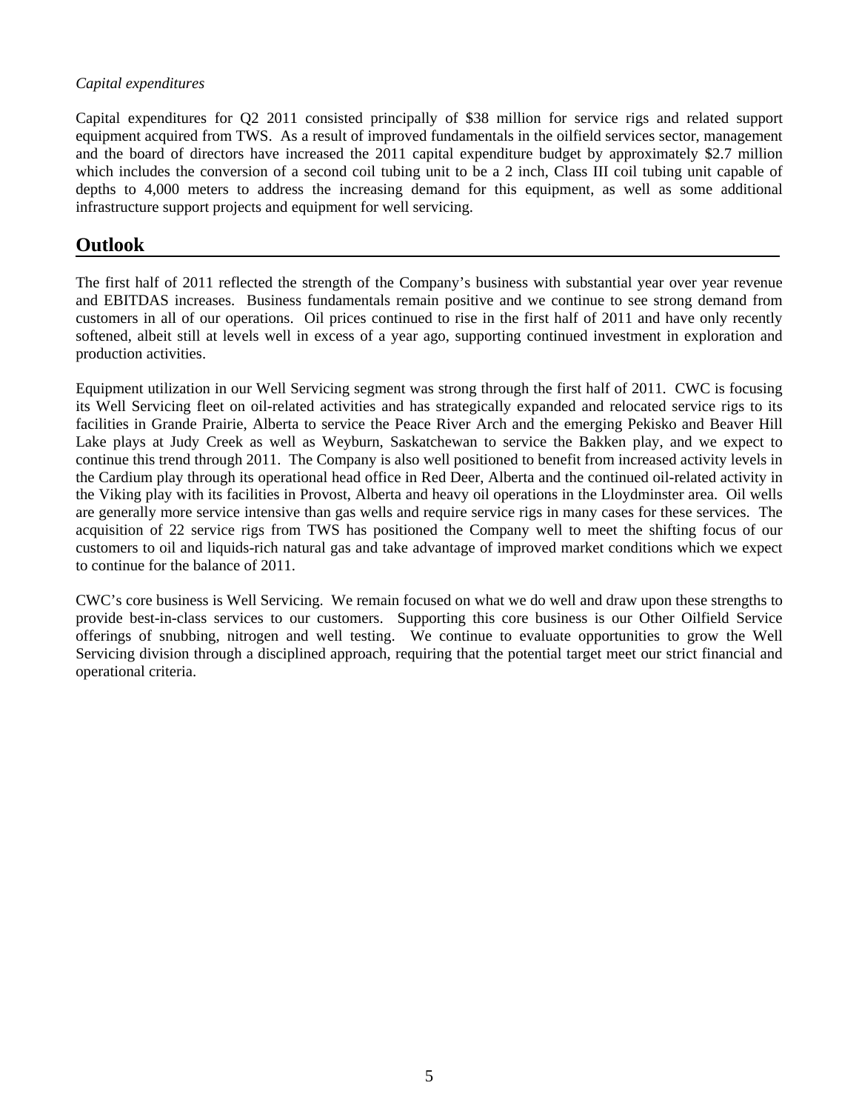#### *Capital expenditures*

Capital expenditures for Q2 2011 consisted principally of \$38 million for service rigs and related support equipment acquired from TWS. As a result of improved fundamentals in the oilfield services sector, management and the board of directors have increased the 2011 capital expenditure budget by approximately \$2.7 million which includes the conversion of a second coil tubing unit to be a 2 inch, Class III coil tubing unit capable of depths to 4,000 meters to address the increasing demand for this equipment, as well as some additional infrastructure support projects and equipment for well servicing.

# **Outlook**

The first half of 2011 reflected the strength of the Company's business with substantial year over year revenue and EBITDAS increases. Business fundamentals remain positive and we continue to see strong demand from customers in all of our operations. Oil prices continued to rise in the first half of 2011 and have only recently softened, albeit still at levels well in excess of a year ago, supporting continued investment in exploration and production activities.

Equipment utilization in our Well Servicing segment was strong through the first half of 2011. CWC is focusing its Well Servicing fleet on oil-related activities and has strategically expanded and relocated service rigs to its facilities in Grande Prairie, Alberta to service the Peace River Arch and the emerging Pekisko and Beaver Hill Lake plays at Judy Creek as well as Weyburn, Saskatchewan to service the Bakken play, and we expect to continue this trend through 2011. The Company is also well positioned to benefit from increased activity levels in the Cardium play through its operational head office in Red Deer, Alberta and the continued oil-related activity in the Viking play with its facilities in Provost, Alberta and heavy oil operations in the Lloydminster area. Oil wells are generally more service intensive than gas wells and require service rigs in many cases for these services. The acquisition of 22 service rigs from TWS has positioned the Company well to meet the shifting focus of our customers to oil and liquids-rich natural gas and take advantage of improved market conditions which we expect to continue for the balance of 2011.

CWC's core business is Well Servicing. We remain focused on what we do well and draw upon these strengths to provide best-in-class services to our customers. Supporting this core business is our Other Oilfield Service offerings of snubbing, nitrogen and well testing. We continue to evaluate opportunities to grow the Well Servicing division through a disciplined approach, requiring that the potential target meet our strict financial and operational criteria.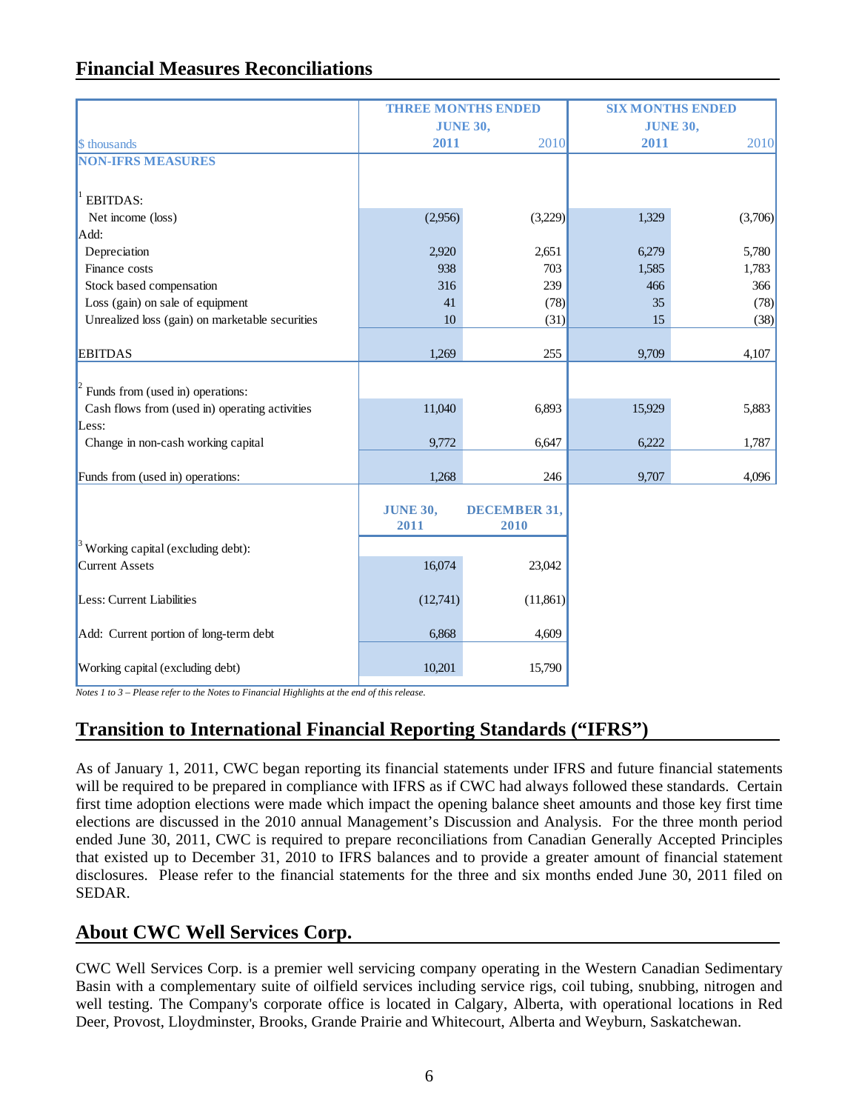# **Financial Measures Reconciliations**

|                                                 | <b>THREE MONTHS ENDED</b> |                     | <b>SIX MONTHS ENDED</b> |         |  |  |
|-------------------------------------------------|---------------------------|---------------------|-------------------------|---------|--|--|
|                                                 | <b>JUNE 30,</b>           |                     | <b>JUNE 30,</b>         |         |  |  |
| \$ thousands                                    | 2011                      | 2010                | 2011                    | 2010    |  |  |
| <b>NON-IFRS MEASURES</b>                        |                           |                     |                         |         |  |  |
|                                                 |                           |                     |                         |         |  |  |
| <b>EBITDAS:</b>                                 |                           |                     |                         |         |  |  |
| Net income (loss)                               | (2,956)                   | (3,229)             | 1,329                   | (3,706) |  |  |
| Add:                                            |                           |                     |                         |         |  |  |
| Depreciation                                    | 2,920                     | 2,651               | 6,279                   | 5,780   |  |  |
| Finance costs                                   | 938                       | 703                 | 1,585                   | 1,783   |  |  |
| Stock based compensation                        | 316                       | 239                 | 466                     | 366     |  |  |
| Loss (gain) on sale of equipment                | 41                        | (78)                | 35                      | (78)    |  |  |
| Unrealized loss (gain) on marketable securities | 10                        | (31)                | 15                      | (38)    |  |  |
|                                                 |                           |                     |                         |         |  |  |
| <b>EBITDAS</b>                                  | 1,269                     | 255                 | 9,709                   | 4,107   |  |  |
|                                                 |                           |                     |                         |         |  |  |
| Funds from (used in) operations:                |                           |                     |                         |         |  |  |
| Cash flows from (used in) operating activities  | 11,040                    | 6,893               | 15,929                  | 5,883   |  |  |
| Less:                                           |                           |                     |                         |         |  |  |
| Change in non-cash working capital              | 9,772                     | 6,647               | 6,222                   | 1,787   |  |  |
|                                                 |                           |                     |                         |         |  |  |
| Funds from (used in) operations:                | 1,268                     | 246                 | 9,707                   | 4,096   |  |  |
|                                                 |                           |                     |                         |         |  |  |
|                                                 | <b>JUNE 30,</b>           | <b>DECEMBER 31,</b> |                         |         |  |  |
|                                                 | 2011                      | 2010                |                         |         |  |  |
| $\beta$ Working capital (excluding debt):       |                           |                     |                         |         |  |  |
| <b>Current Assets</b>                           | 16,074                    | 23,042              |                         |         |  |  |
|                                                 |                           |                     |                         |         |  |  |
| Less: Current Liabilities                       | (12,741)                  | (11, 861)           |                         |         |  |  |
|                                                 |                           |                     |                         |         |  |  |
| Add: Current portion of long-term debt          | 6,868                     | 4,609               |                         |         |  |  |
|                                                 |                           |                     |                         |         |  |  |
| Working capital (excluding debt)                | 10,201                    | 15,790              |                         |         |  |  |

*Notes 1 to 3 – Please refer to the Notes to Financial Highlights at the end of this release.* 

# **Transition to International Financial Reporting Standards ("IFRS")**

As of January 1, 2011, CWC began reporting its financial statements under IFRS and future financial statements will be required to be prepared in compliance with IFRS as if CWC had always followed these standards. Certain first time adoption elections were made which impact the opening balance sheet amounts and those key first time elections are discussed in the 2010 annual Management's Discussion and Analysis. For the three month period ended June 30, 2011, CWC is required to prepare reconciliations from Canadian Generally Accepted Principles that existed up to December 31, 2010 to IFRS balances and to provide a greater amount of financial statement disclosures. Please refer to the financial statements for the three and six months ended June 30, 2011 filed on SEDAR.

# **About CWC Well Services Corp.**

CWC Well Services Corp. is a premier well servicing company operating in the Western Canadian Sedimentary Basin with a complementary suite of oilfield services including service rigs, coil tubing, snubbing, nitrogen and well testing. The Company's corporate office is located in Calgary, Alberta, with operational locations in Red Deer, Provost, Lloydminster, Brooks, Grande Prairie and Whitecourt, Alberta and Weyburn, Saskatchewan.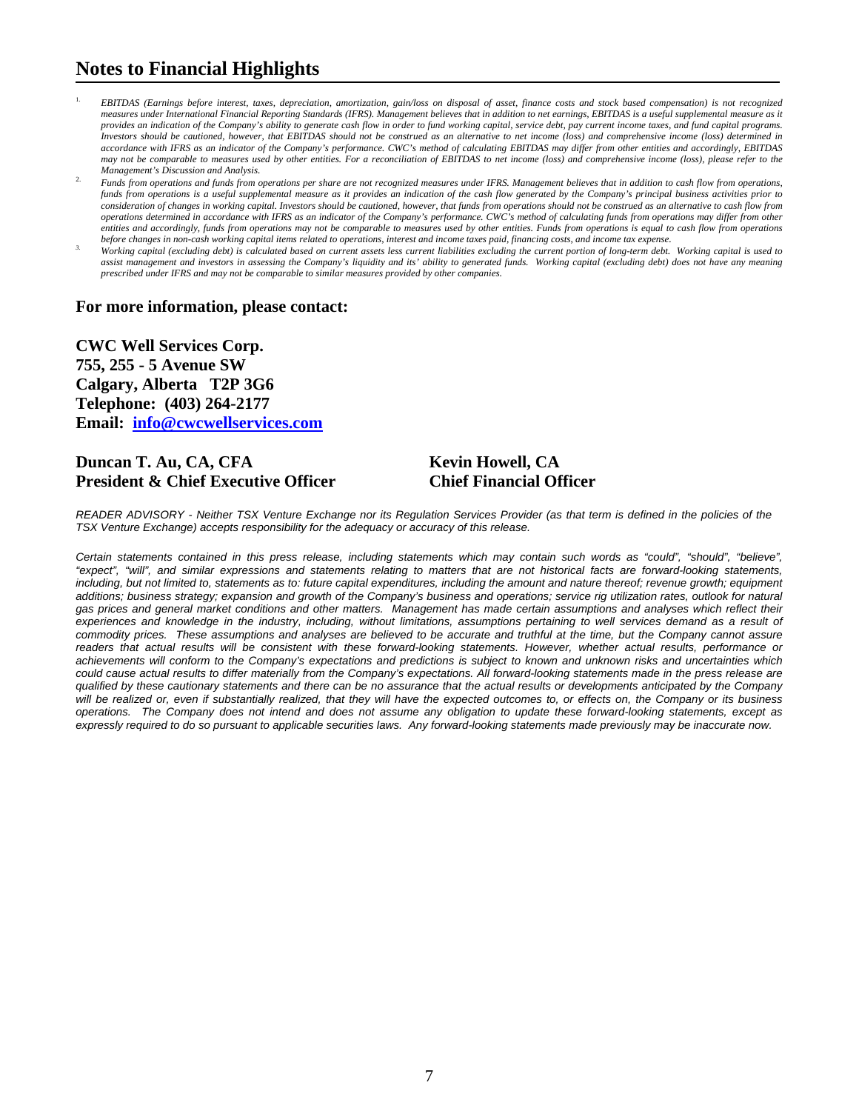# **Notes to Financial Highlights**

- 1. *EBITDAS (Earnings before interest, taxes, depreciation, amortization, gain/loss on disposal of asset, finance costs and stock based compensation) is not recognized measures under International Financial Reporting Standards (IFRS). Management believes that in addition to net earnings, EBITDAS is a useful supplemental measure as it provides an indication of the Company's ability to generate cash flow in order to fund working capital, service debt, pay current income taxes, and fund capital programs. Investors should be cautioned, however, that EBITDAS should not be construed as an alternative to net income (loss) and comprehensive income (loss) determined in accordance with IFRS as an indicator of the Company's performance. CWC's method of calculating EBITDAS may differ from other entities and accordingly, EBITDAS may not be comparable to measures used by other entities. For a reconciliation of EBITDAS to net income (loss) and comprehensive income (loss), please refer to the Management's Discussion and Analysis.*
- 2. *Funds from operations and funds from operations per share are not recognized measures under IFRS. Management believes that in addition to cash flow from operations, funds from operations is a useful supplemental measure as it provides an indication of the cash flow generated by the Company's principal business activities prior to consideration of changes in working capital. Investors should be cautioned, however, that funds from operations should not be construed as an alternative to cash flow from operations determined in accordance with IFRS as an indicator of the Company's performance. CWC's method of calculating funds from operations may differ from other*  entities and accordingly, funds from operations may not be comparable to measures used by other entities. Funds from operations is equal to cash flow from operations
- before changes in non-cash working capital items related to operations, interest and income taxes paid, financing costs, and income tax expense.<br>Working capital (excluding debt) is calculated based on current assets less c assist management and investors in assessing the Company's liquidity and its' ability to generated funds. Working capital (excluding debt) does not have any meaning *prescribed under IFRS and may not be comparable to similar measures provided by other companies.*

#### **For more information, please contact:**

**CWC Well Services Corp. 755, 255 - 5 Avenue SW Calgary, Alberta T2P 3G6 Telephone: (403) 264-2177 Email: info@cwcwellservices.com** 

#### **Duncan T. Au, CA, CFA Kevin Howell, CA President & Chief Executive Officer Chief Financial Officer**

*READER ADVISORY - Neither TSX Venture Exchange nor its Regulation Services Provider (as that term is defined in the policies of the TSX Venture Exchange) accepts responsibility for the adequacy or accuracy of this release.* 

*Certain statements contained in this press release, including statements which may contain such words as "could", "should", "believe", "expect", "will", and similar expressions and statements relating to matters that are not historical facts are forward-looking statements,*  including, but not limited to, statements as to: future capital expenditures, including the amount and nature thereof; revenue growth; equipment *additions; business strategy; expansion and growth of the Company's business and operations; service rig utilization rates, outlook for natural gas prices and general market conditions and other matters. Management has made certain assumptions and analyses which reflect their*  experiences and knowledge in the industry, including, without limitations, assumptions pertaining to well services demand as a result of *commodity prices. These assumptions and analyses are believed to be accurate and truthful at the time, but the Company cannot assure*  readers that actual results will be consistent with these forward-looking statements. However, whether actual results, performance or *achievements will conform to the Company's expectations and predictions is subject to known and unknown risks and uncertainties which could cause actual results to differ materially from the Company's expectations. All forward-looking statements made in the press release are qualified by these cautionary statements and there can be no assurance that the actual results or developments anticipated by the Company will be realized or, even if substantially realized, that they will have the expected outcomes to, or effects on, the Company or its business operations. The Company does not intend and does not assume any obligation to update these forward-looking statements, except as expressly required to do so pursuant to applicable securities laws. Any forward-looking statements made previously may be inaccurate now.*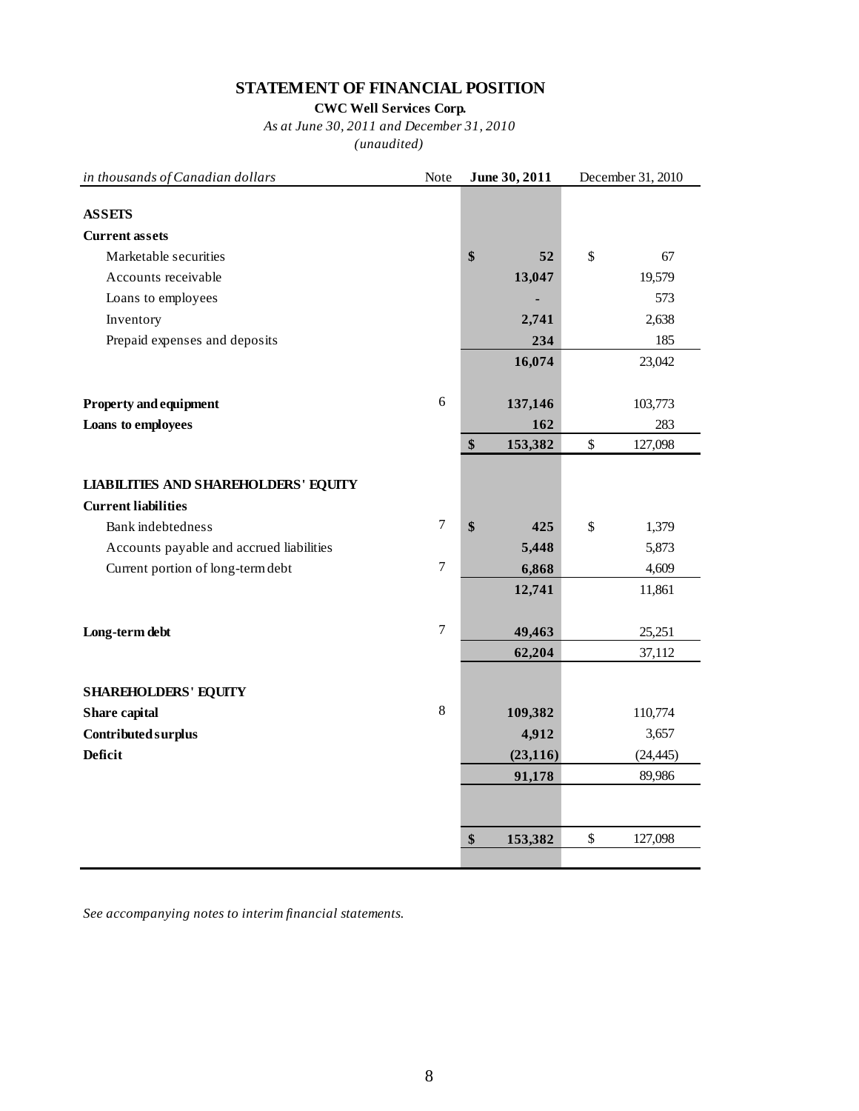## **STATEMENT OF FINANCIAL POSITION**

**CWC Well Services Corp.**

*As at June 30, 2011 and December 31, 2010 (unaudited)*

| in thousands of Canadian dollars            | Note           | June 30, 2011 |           | December 31, 2010 |           |  |
|---------------------------------------------|----------------|---------------|-----------|-------------------|-----------|--|
|                                             |                |               |           |                   |           |  |
| <b>ASSETS</b>                               |                |               |           |                   |           |  |
| <b>Current assets</b>                       |                |               |           |                   |           |  |
| Marketable securities                       |                | \$            | 52        | \$                | 67        |  |
| Accounts receivable                         |                |               | 13,047    |                   | 19,579    |  |
| Loans to employees                          |                |               |           |                   | 573       |  |
| Inventory                                   |                |               | 2,741     |                   | 2,638     |  |
| Prepaid expenses and deposits               |                |               | 234       |                   | 185       |  |
|                                             |                |               | 16,074    |                   | 23,042    |  |
|                                             |                |               |           |                   |           |  |
| <b>Property and equipment</b>               | 6              |               | 137,146   |                   | 103,773   |  |
| Loans to employees                          |                |               | 162       |                   | 283       |  |
|                                             |                | \$            | 153,382   | \$                | 127,098   |  |
| <b>LIABILITIES AND SHAREHOLDERS' EQUITY</b> |                |               |           |                   |           |  |
| <b>Current liabilities</b>                  |                |               |           |                   |           |  |
| Bank indebtedness                           | $\overline{7}$ | \$            | 425       | $\$$              | 1,379     |  |
| Accounts payable and accrued liabilities    |                |               | 5,448     |                   | 5,873     |  |
| Current portion of long-term debt           | 7              |               | 6,868     |                   | 4,609     |  |
|                                             |                |               | 12,741    |                   | 11,861    |  |
|                                             | $\overline{7}$ |               |           |                   |           |  |
| Long-term debt                              |                |               | 49,463    |                   | 25,251    |  |
|                                             |                |               | 62,204    |                   | 37,112    |  |
| <b>SHAREHOLDERS' EQUITY</b>                 |                |               |           |                   |           |  |
| Share capital                               | 8              |               | 109,382   |                   | 110,774   |  |
| Contributed surplus                         |                |               | 4,912     |                   | 3,657     |  |
| <b>Deficit</b>                              |                |               | (23, 116) |                   | (24, 445) |  |
|                                             |                |               | 91,178    |                   | 89,986    |  |
|                                             |                |               |           |                   |           |  |
|                                             |                | \$            | 153,382   | $\$$              | 127,098   |  |
|                                             |                |               |           |                   |           |  |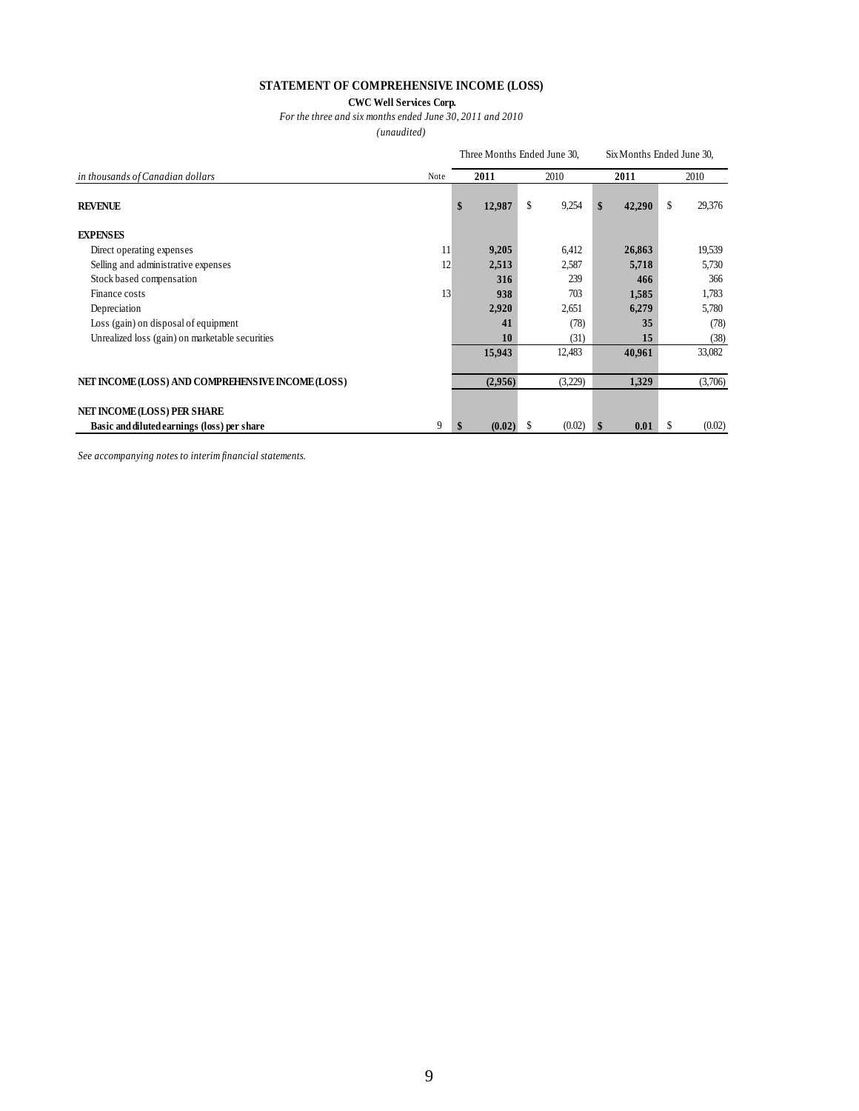#### **STATEMENT OF COMPREHENSIVE INCOME (LOSS)**

#### **CWC Well Services Corp.** *For the three and six months ended June 30, 2011 and 2010*

*(unaudited)*

|                                                   |      | Three Months Ended June 30, |         |      |         |      |        | Six Months Ended June 30, |         |
|---------------------------------------------------|------|-----------------------------|---------|------|---------|------|--------|---------------------------|---------|
| in thousands of Canadian dollars                  | Note |                             | 2011    | 2010 |         | 2011 |        | 2010                      |         |
| <b>REVENUE</b>                                    |      | \$                          | 12,987  | \$   | 9,254   | \$   | 42,290 | \$                        | 29,376  |
| <b>EXPENSES</b>                                   |      |                             |         |      |         |      |        |                           |         |
| Direct operating expenses                         | 11   |                             | 9,205   |      | 6,412   |      | 26,863 |                           | 19,539  |
| Selling and administrative expenses               | 12   |                             | 2,513   |      | 2,587   |      | 5,718  |                           | 5,730   |
| Stock based compensation                          |      |                             | 316     |      | 239     |      | 466    |                           | 366     |
| Finance costs                                     | 13   |                             | 938     |      | 703     |      | 1,585  |                           | 1,783   |
| Depreciation                                      |      |                             | 2,920   |      | 2,651   |      | 6,279  |                           | 5,780   |
| Loss (gain) on disposal of equipment              |      |                             | 41      |      | (78)    |      | 35     |                           | (78)    |
| Unrealized loss (gain) on marketable securities   |      |                             | 10      |      | (31)    |      | 15     |                           | (38)    |
|                                                   |      |                             | 15,943  |      | 12,483  |      | 40,961 |                           | 33,082  |
| NET INCOME (LOSS) AND COMPREHENSIVE INCOME (LOSS) |      |                             | (2,956) |      | (3,229) |      | 1,329  |                           | (3,706) |
| NET INCOME (LOSS) PER SHARE                       |      |                             |         |      |         |      |        |                           |         |
| Basic and diluted earnings (loss) per share       | 9    | \$                          | (0.02)  | S    | (0.02)  | S    | 0.01   | \$                        | (0.02)  |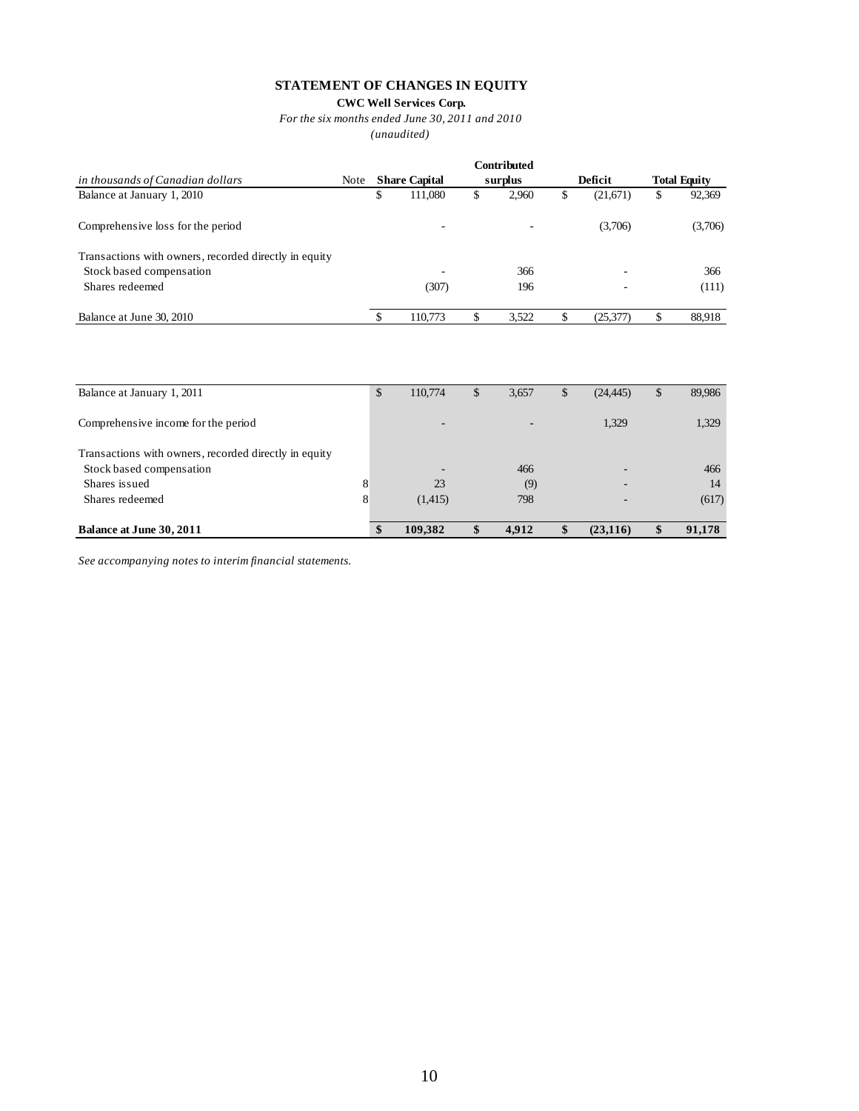#### **STATEMENT OF CHANGES IN EQUITY**

#### **CWC Well Services Corp.**

*For the six months ended June 30, 2011 and 2010*

*(unaudited)*

|                                                       |             |   |                      |    | Contributed |    |           |    |                     |
|-------------------------------------------------------|-------------|---|----------------------|----|-------------|----|-----------|----|---------------------|
| in thousands of Canadian dollars                      | <b>Note</b> |   | <b>Share Capital</b> |    | surplus     |    | Deficit   |    | <b>Total Equity</b> |
| Balance at January 1, 2010                            |             | S | 111.080              | \$ | 2.960       | \$ | (21,671)  | \$ | 92,369              |
| Comprehensive loss for the period                     |             |   |                      |    | -           |    | (3,706)   |    | (3,706)             |
| Transactions with owners, recorded directly in equity |             |   |                      |    |             |    |           |    |                     |
| Stock based compensation                              |             |   | -                    |    | 366         |    |           |    | 366                 |
| Shares redeemed                                       |             |   | (307)                |    | 196         |    |           |    | (111)               |
| Balance at June 30, 2010                              |             |   | 110,773              | J  | 3.522       | \$ | (25, 377) |    | 88,918              |

| Balance at January 1, 2011                            | \$ | 110,774 | \$<br>3,657 | \$<br>(24, 445) | \$<br>89,986 |
|-------------------------------------------------------|----|---------|-------------|-----------------|--------------|
| Comprehensive income for the period                   |    |         |             | 1,329           | 1,329        |
| Transactions with owners, recorded directly in equity |    |         |             |                 |              |
| Stock based compensation                              |    |         | 466         |                 | 466          |
| Shares issued                                         | 8  | 23      | (9)         |                 | 14           |
| Shares redeemed                                       | 8  | (1,415) | 798         |                 | (617)        |
| Balance at June 30, 2011                              | \$ | 109,382 | 4,912       | (23, 116)       | 91,178       |